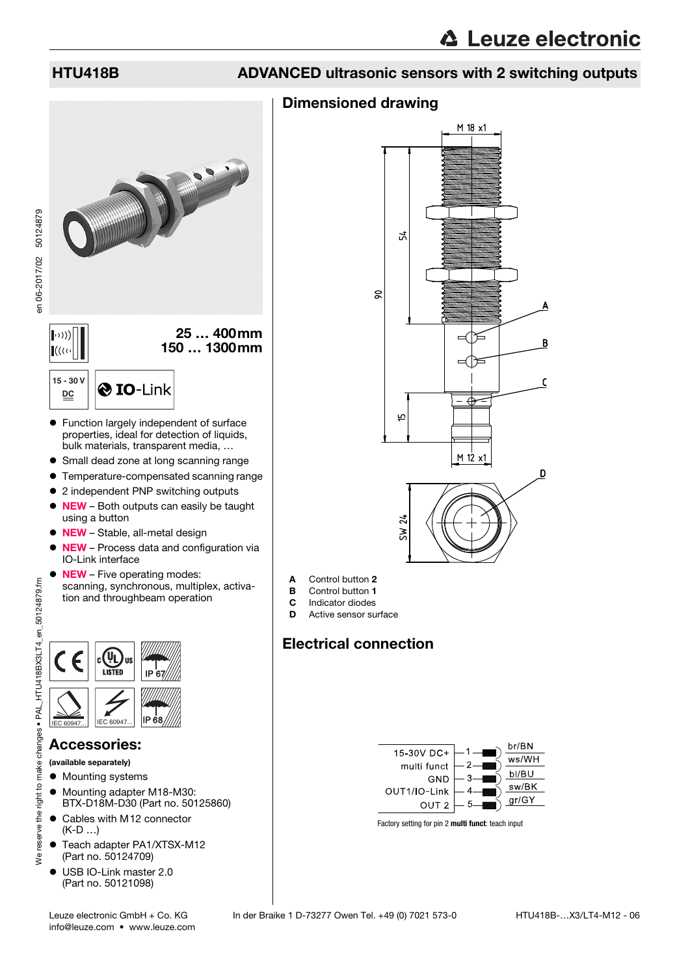en 06-2017/02 50124879

en 06-2017/02 50124879

## HTU418B ADVANCED ultrasonic sensors with 2 switching outputs

## Dimensioned drawing



- Small dead zone at long scanning range
- **Temperature-compensated scanning range**
- 2 independent PNP switching outputs
- NEW Both outputs can easily be taught using a button
- NEW Stable, all-metal design
- NEW Process data and configuration via IO-Link interface
- NEW Five operating modes: scanning, synchronous, multiplex, activation and throughbeam operation



#### Accessories:

(available separately)

- $\bullet$  Mounting systems
- $\bullet$  Mounting adapter M18-M30: BTX-D18M-D30 (Part no. 50125860)
- Cables with M12 connector (K-D …)
- Teach adapter PA1/XTSX-M12 (Part no. 50124709)
- USB IO-Link master 2.0 (Part no. 50121098)



- A Control button 2
- **B** Control button 1
- **C** Indicator diodes<br>**D** Active sensor su
- Active sensor surface

## Electrical connection



Factory setting for pin 2 **multi funct**: teach input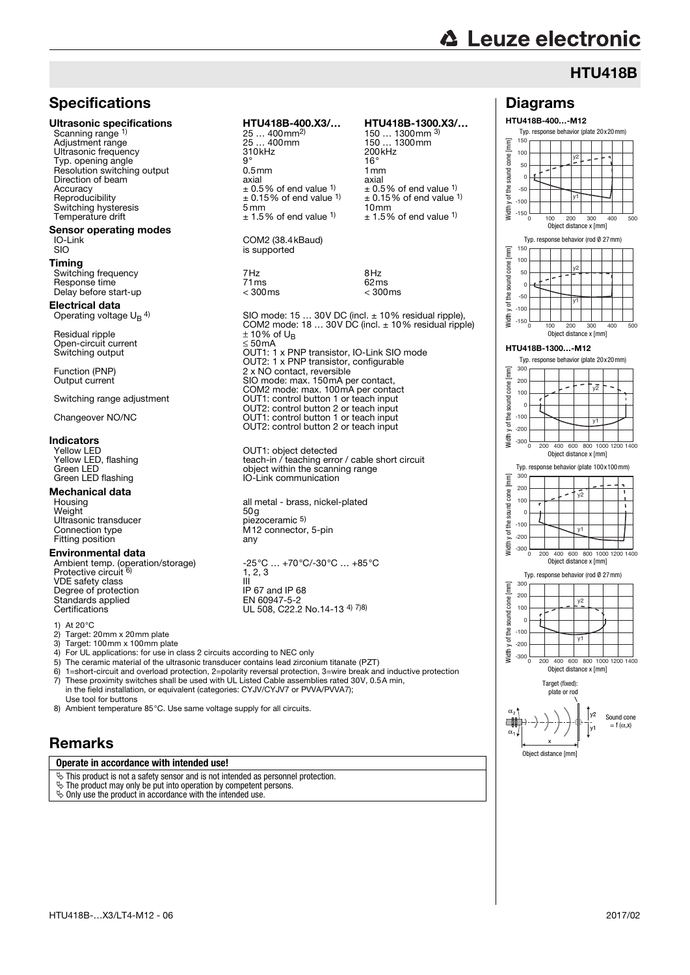## **HTU418B**

### **Specifications**

Scanning range 1) Adjustment range 150 mm 25 ... 400mm 150 ... 1<br>
Ultrasonic frequency 150 mm 200kHz Ultrasonic frequency and the control of the 310kHz 310kHz 200<br>Typ opening angle Typ. opening angle <sup>1</sup> the state of the state of the state of the state of the state of the state of the state o<br>Resolution switching output the state of the state of the state of the state of the state of the state of the Resolution switching output Direction of beam  $\frac{1}{2}$ <br>Direction of beam  $\frac{1}{2}$ <br>Accuracy  $\pm 0.5\%$  of end value  $\frac{1}{2}$  axial  $\pm 0.5\%$  of end value  $\frac{1}{2}$  $\text{Accuracy}$ <br>Accuracy  $\pm 0.5\%$  of end value <sup>1)</sup><br>Reproducibility  $\pm 0.15\%$  of end value <sup>1)</sup> Switching hysteresis 5 mm 10mm

# **Sensor operating modes**<br>IO-Link<br>SIO

#### Timing

Switching frequency 7Hz 8Hz Delay before start-up

#### Electrical data Operating voltage  $U_{\text{B}}$  4)

Residual ripple  $\pm 10\%$  of U<sub>B</sub> Open-circuit current<br>Switching output

#### Indicators

Green LED<br>
Green LED flashing<br>
Green LED flashing<br>
IO-Link commun Green LED flashing

## **Mechanical data**<br>Housing

Housing all metal - brass<br>
Weight density by the set of the planet of the set of the set of the set of the set of the set of the set of the<br>
Housing  $\log$ Weight 50g Ultrasonic transducer piezoceramic 5) Connection type M12 connector, 5-pin M12 connector, 5-pin M12 connector, 5-pin M12 connector, 5-pin M12 connector, 5-pin M12 connector, 5-pin M12 connector, 5-pin M12 connector, 5-pin M12 connector, 5-pin M12 connector, 5-Fitting position

#### Environmental data

Ambient temp. (operation/storage) -25°C ... +70°C<br>Ambient temp. (operation/storage) - 4.3.3 Protective circuit VDE safety class III<br>Degree of protection IP 67 and IP 68 Degree of protection Standards applied<br>Certifications

1) At 20 °C<br>2) Target: 2

- 
- 2) Target: 20mm x 20mm plate<br>3) Target: 100mm x 100mm pla 3) Target: 100mm x 100mm plate<br>4) For UL applications: for use in c
- 4) For UL applications: for use in class 2 circuits according to NEC on<br>5) The ceramic material of the ultrasonic transducer contains lead zirco
- The ceramic material of the ultrasonic transducer contains lead zirconium tital
- 6) 1=short-circuit and overload protection, 2=polarity reversal protection  $\overline{7}$ ) These proximity switches shall be used with UL Listed Cable assem installation, or equivalent (categories: CYJV/CYJV7 or P
- Use tool for buttons
- 8) Ambient temperature 85°C. Use same voltage supply for all circuits

#### Remarks

#### **Operate in accordance with intended use!**

- $\ddot{\mathcal{D}}$  This product is not a safety sensor and is not intended as personnel protection.
- $\ddot{\mathbb{Q}}$  Only use the product in accordance with the intended use.
- $\ddot{\mathfrak{B}}$  The product may only be put into operation by competent persons.

Ultrasonic specifications HTU418B-400.X3/… HTU418B-1300.X3/… 25 ... 400mm<sup>2)</sup><br>25 ... 400mm 150 ... 1300mm 3)<br>150 ... 1300mm  $\pm$  0.15% of end value 1)  $\pm$  0.15% of end value 1)<br>5 mm  $\pm$  0.15% of end value 1)

 $± 1.5%$  of end value <sup>1)</sup> COM2 (38.4kBaud)

is supported

SIO mode: 15 … 30V DC (incl. ± 10% residual ripple), COM2 mode: 18 … 30V DC (incl. ± 10% residual ripple) Switching output OUT1: 1 x PNP transistor, IO-Link SIO mode OUT2: 1 x PNP transistor, configurable Function (PNP) 2 x NO contact, reversible<br>Output current 300 mode: max. 150 mA p Entre contact, reference COM2 mode: max. 100mA per contact Switching range adjustment **OUT1:** control button 1 or teach input OUT2: control button 2 or teach input Changeover NO/NC OUT1: control button 1 or teach input OUT2: control button 2 or teach input

 $1, 2, 3$ EN 60947-5-2<br>UL 508, C22.2 N

Response time 71ms 62ms

Yellow LED<br>Yellow LED, flashing teach-in / teaching error / cable short circuit

| etected<br>ing error / cable short circuit<br>e scanning range<br>nication                                              |
|-------------------------------------------------------------------------------------------------------------------------|
| s, nickel-plated                                                                                                        |
| , 5-pin                                                                                                                 |
| 2/-30°C  +85°C                                                                                                          |
| No.14-13 <sup>4) 7)8)</sup>                                                                                             |
| ılv<br>onium titanate (PZT)<br>ion, 3=wire break and inductive protection<br>nblies rated 30V, 0.5A min,<br>VVA/PVVA7); |
| ŝ.                                                                                                                      |
|                                                                                                                         |
|                                                                                                                         |

#### Diagrams HTU418B-400…-M12 Typ. response behavior (plate 20x20mm)

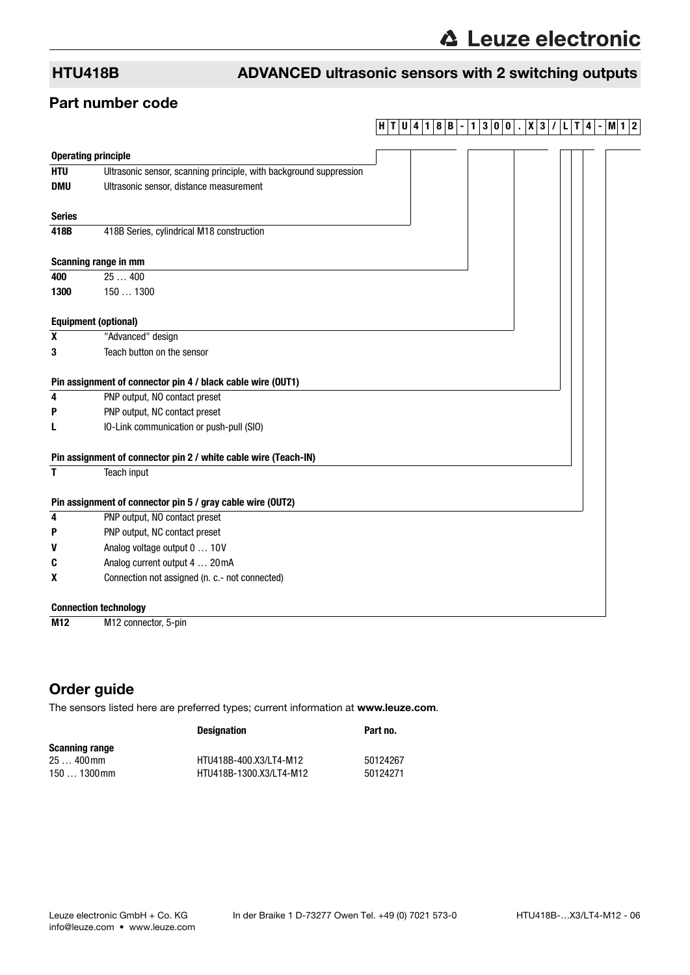## HTU418B ADVANCED ultrasonic sensors with 2 switching outputs

### Part number code

## **H T U 4 1 8 B - 1 3 0 0 . X 3 / L T 4 - M1 2**

|               | <b>Operating principle</b>                                         |  |  |
|---------------|--------------------------------------------------------------------|--|--|
| <b>HTU</b>    | Ultrasonic sensor, scanning principle, with background suppression |  |  |
| <b>DMU</b>    | Ultrasonic sensor, distance measurement                            |  |  |
| <b>Series</b> |                                                                    |  |  |
| 418B          | 418B Series, cylindrical M18 construction                          |  |  |
|               | Scanning range in mm                                               |  |  |
| 400           | 25400                                                              |  |  |
| 1300          | 1501300                                                            |  |  |
|               | <b>Equipment (optional)</b>                                        |  |  |
| X             | "Advanced" design                                                  |  |  |
| 3             | Teach button on the sensor                                         |  |  |
|               | Pin assignment of connector pin 4 / black cable wire (OUT1)        |  |  |
| 4             | PNP output, NO contact preset                                      |  |  |
| P             | PNP output, NC contact preset                                      |  |  |
| L             | IO-Link communication or push-pull (SIO)                           |  |  |
|               | Pin assignment of connector pin 2 / white cable wire (Teach-IN)    |  |  |
| T             | Teach input                                                        |  |  |
|               | Pin assignment of connector pin 5 / gray cable wire (OUT2)         |  |  |
| 4             | PNP output, NO contact preset                                      |  |  |
| P             | PNP output, NC contact preset                                      |  |  |
| V             | Analog voltage output 0  10V                                       |  |  |
| C             | Analog current output 4  20mA                                      |  |  |
| x             | Connection not assigned (n. c.- not connected)                     |  |  |
|               | <b>Connection technology</b>                                       |  |  |
| M12           | M12 connector, 5-pin                                               |  |  |

### Order guide

The sensors listed here are preferred types; current information at www.leuze.com.

|                | <b>Designation</b>      | Part no. |
|----------------|-------------------------|----------|
| Scanning range |                         |          |
| 25  400 mm     | HTU418B-400.X3/LT4-M12  | 50124267 |
| $1501300$ mm   | HTU418B-1300.X3/LT4-M12 | 50124271 |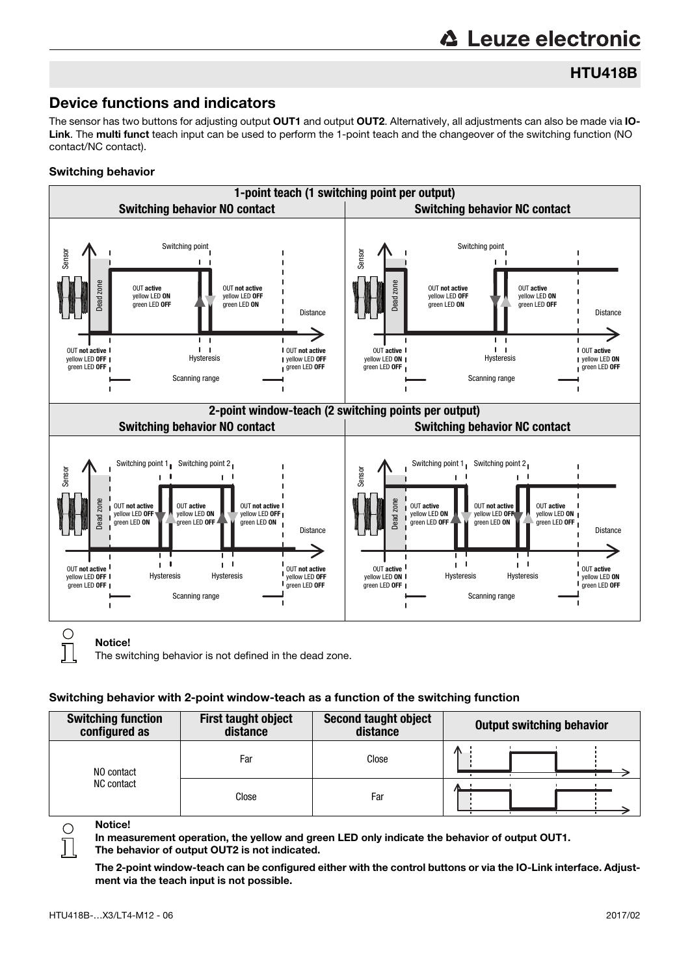# **∆ Leuze electronic**

## HTU418B

## Device functions and indicators

The sensor has two buttons for adjusting output OUT1 and output OUT2. Alternatively, all adjustments can also be made via IO-Link. The multi funct teach input can be used to perform the 1-point teach and the changeover of the switching function (NO contact/NC contact).

#### Switching behavior



The switching behavior is not defined in the dead zone.

#### Switching behavior with 2-point window-teach as a function of the switching function

| <b>Switching function</b><br>configured as | <b>First taught object</b><br>distance | <b>Second taught object</b><br>distance | <b>Output switching behavior</b> |
|--------------------------------------------|----------------------------------------|-----------------------------------------|----------------------------------|
| NO contact                                 | Far                                    | Close                                   | Λ                                |
| NC contact                                 | Close                                  | Far                                     |                                  |

Notice!

 $\bigcirc$ 

In measurement operation, the yellow and green LED only indicate the behavior of output OUT1. The behavior of output OUT2 is not indicated.

The 2-point window-teach can be configured either with the control buttons or via the IO-Link interface. Adjustment via the teach input is not possible.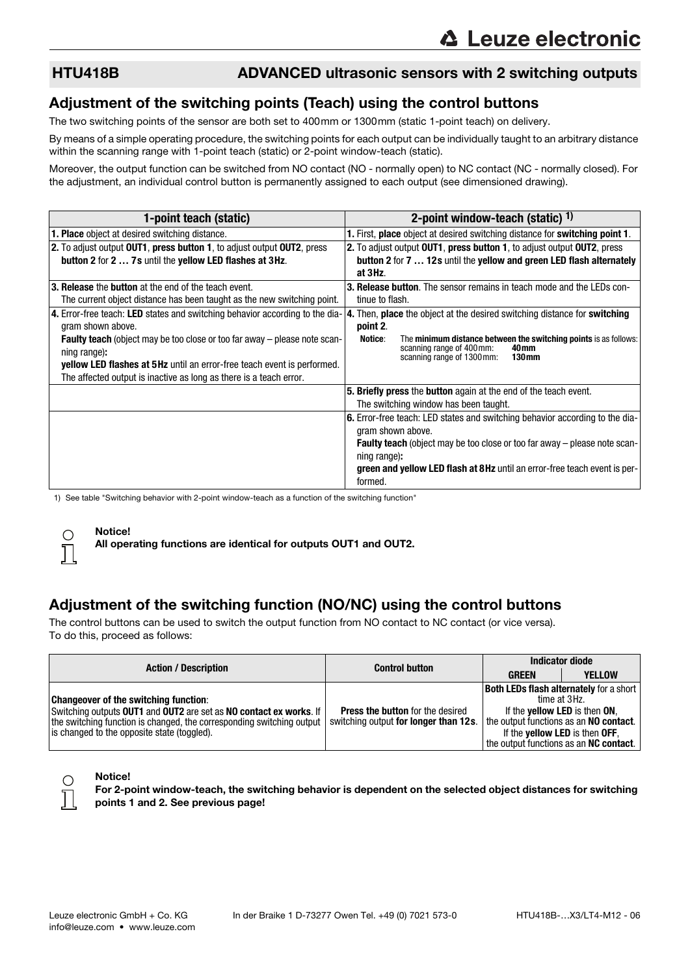### HTU418B ADVANCED ultrasonic sensors with 2 switching outputs

### Adjustment of the switching points (Teach) using the control buttons

The two switching points of the sensor are both set to 400mm or 1300mm (static 1-point teach) on delivery.

By means of a simple operating procedure, the switching points for each output can be individually taught to an arbitrary distance within the scanning range with 1-point teach (static) or 2-point window-teach (static).

Moreover, the output function can be switched from NO contact (NO - normally open) to NC contact (NC - normally closed). For the adjustment, an individual control button is permanently assigned to each output (see dimensioned drawing).

| 1-point teach (static)                                                           | 2-point window-teach (static) $1$ )                                                               |
|----------------------------------------------------------------------------------|---------------------------------------------------------------------------------------------------|
| <b>1. Place</b> object at desired switching distance.                            | 1. First, place object at desired switching distance for switching point 1.                       |
| 2. To adjust output OUT1, press button 1, to adjust output OUT2, press           | 2. To adjust output OUT1, press button 1, to adjust output OUT2, press                            |
| button 2 for 2  7s until the yellow LED flashes at 3Hz.                          | button 2 for 7  12s until the yellow and green LED flash alternately                              |
|                                                                                  | at 3Hz.                                                                                           |
| 3. Release the button at the end of the teach event.                             | <b>3. Release button.</b> The sensor remains in teach mode and the LEDs con-                      |
| The current object distance has been taught as the new switching point.          | tinue to flash.                                                                                   |
| 4. Error-free teach: LED states and switching behavior according to the dia-     | 4. Then, place the object at the desired switching distance for switching                         |
| gram shown above.                                                                | point 2.                                                                                          |
| <b>Faulty teach</b> (object may be too close or too far away – please note scan- | The minimum distance between the switching points is as follows:<br>Notice:<br>40 <sub>mm</sub>   |
| ning range):                                                                     | scanning range of 400 mm:<br>130 <sub>mm</sub><br>scanning range of 1300 mm:                      |
| <b>yellow LED flashes at 5Hz</b> until an error-free teach event is performed.   |                                                                                                   |
| The affected output is inactive as long as there is a teach error.               |                                                                                                   |
|                                                                                  | 5. Briefly press the button again at the end of the teach event.                                  |
|                                                                                  | The switching window has been taught.                                                             |
|                                                                                  | 6. Error-free teach: LED states and switching behavior according to the dia-<br>gram shown above. |
|                                                                                  | <b>Faulty teach</b> (object may be too close or too far away – please note scan-                  |
|                                                                                  | ning range):                                                                                      |
|                                                                                  | green and yellow LED flash at 8Hz until an error-free teach event is per-                         |
|                                                                                  | formed.                                                                                           |

1) See table "Switching behavior with 2-point window-teach as a function of the switching function"

#### Notice!

All operating functions are identical for outputs OUT1 and OUT2.

### Adjustment of the switching function (NO/NC) using the control buttons

The control buttons can be used to switch the output function from NO contact to NC contact (or vice versa). To do this, proceed as follows:

| <b>Action / Description</b>                                                                                                                                                                                                                | <b>Control button</b>                                                            | <b>Indicator diode</b>                                                          |                                                                                                                                                          |
|--------------------------------------------------------------------------------------------------------------------------------------------------------------------------------------------------------------------------------------------|----------------------------------------------------------------------------------|---------------------------------------------------------------------------------|----------------------------------------------------------------------------------------------------------------------------------------------------------|
|                                                                                                                                                                                                                                            |                                                                                  | <b>GREEN</b>                                                                    | <b>YELLOW</b>                                                                                                                                            |
| <b>Changeover of the switching function:</b><br>Switching outputs OUT1 and OUT2 are set as NO contact ex works. If<br>the switching function is changed, the corresponding switching output<br>is changed to the opposite state (toggled). | <b>Press the button</b> for the desired<br>switching output for longer than 12s. | the output functions as an NO contact.<br>If the <b>yellow LED</b> is then OFF, | <b>Both LEDs flash alternately for a short</b><br>time at 3Hz.<br>If the <b>yellow LED</b> is then ON,<br>the output functions as an <b>NC contact</b> . |

#### Notice!

For 2-point window-teach, the switching behavior is dependent on the selected object distances for switching points 1 and 2. See previous page!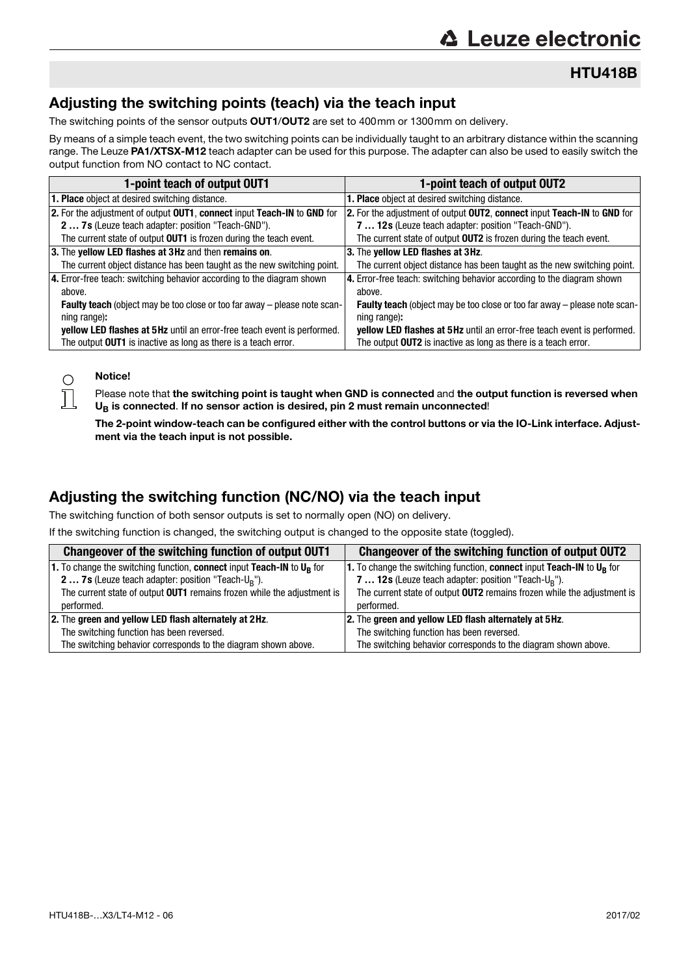HTU418B

## Adjusting the switching points (teach) via the teach input

The switching points of the sensor outputs **OUT1/OUT2** are set to 400mm or 1300mm on delivery.

By means of a simple teach event, the two switching points can be individually taught to an arbitrary distance within the scanning range. The Leuze PA1/XTSX-M12 teach adapter can be used for this purpose. The adapter can also be used to easily switch the output function from NO contact to NC contact.

| 1-point teach of output OUT1                                                     | 1-point teach of output OUT2                                                     |
|----------------------------------------------------------------------------------|----------------------------------------------------------------------------------|
| <b>1. Place</b> object at desired switching distance.                            | <b>1. Place</b> object at desired switching distance.                            |
| 2. For the adjustment of output OUT1, connect input Teach-IN to GND for          | 2. For the adjustment of output OUT2, connect input Teach-IN to GND for          |
| 2  7s (Leuze teach adapter: position "Teach-GND").                               | 7  12s (Leuze teach adapter: position "Teach-GND").                              |
| The current state of output OUT1 is frozen during the teach event.               | The current state of output OUT2 is frozen during the teach event.               |
| 3. The yellow LED flashes at 3Hz and then remains on.                            | 3. The yellow LED flashes at 3Hz.                                                |
| The current object distance has been taught as the new switching point.          | The current object distance has been taught as the new switching point.          |
| 4. Error-free teach: switching behavior according to the diagram shown           | 4. Error-free teach: switching behavior according to the diagram shown           |
| above.                                                                           | above.                                                                           |
| <b>Faulty teach</b> (object may be too close or too far away - please note scan- | <b>Faulty teach</b> (object may be too close or too far away – please note scan- |
| ning range):                                                                     | ning range):                                                                     |
| yellow LED flashes at 5Hz until an error-free teach event is performed.          | yellow LED flashes at 5Hz until an error-free teach event is performed.          |
| The output OUT1 is inactive as long as there is a teach error.                   | The output OUT2 is inactive as long as there is a teach error.                   |

#### Notice!

 $\bigcirc$  $\overline{\text{}}$ 

Please note that the switching point is taught when GND is connected and the output function is reversed when  $U_B$  is connected. If no sensor action is desired, pin 2 must remain unconnected!

The 2-point window-teach can be configured either with the control buttons or via the IO-Link interface. Adjustment via the teach input is not possible.

### Adjusting the switching function (NC/NO) via the teach input

The switching function of both sensor outputs is set to normally open (NO) on delivery.

If the switching function is changed, the switching output is changed to the opposite state (toggled).

| Changeover of the switching function of output OUT1                      | Changeover of the switching function of output OUT2                               |  |
|--------------------------------------------------------------------------|-----------------------------------------------------------------------------------|--|
| 1. To change the switching function, connect input Teach-IN to $U_R$ for | 1. To change the switching function, connect input Teach-IN to U <sub>R</sub> for |  |
| <b>2 7s</b> (Leuze teach adapter: position "Teach- $U_R$ ").             | 7  12s (Leuze teach adapter: position "Teach-U <sub>R</sub> ").                   |  |
| The current state of output OUT1 remains frozen while the adjustment is  | The current state of output <b>OUT2</b> remains frozen while the adjustment is    |  |
| performed.                                                               | performed.                                                                        |  |
| 2. The green and yellow LED flash alternately at 2Hz.                    | 2. The green and yellow LED flash alternately at 5Hz.                             |  |
| The switching function has been reversed.                                | The switching function has been reversed.                                         |  |
| The switching behavior corresponds to the diagram shown above.           | The switching behavior corresponds to the diagram shown above.                    |  |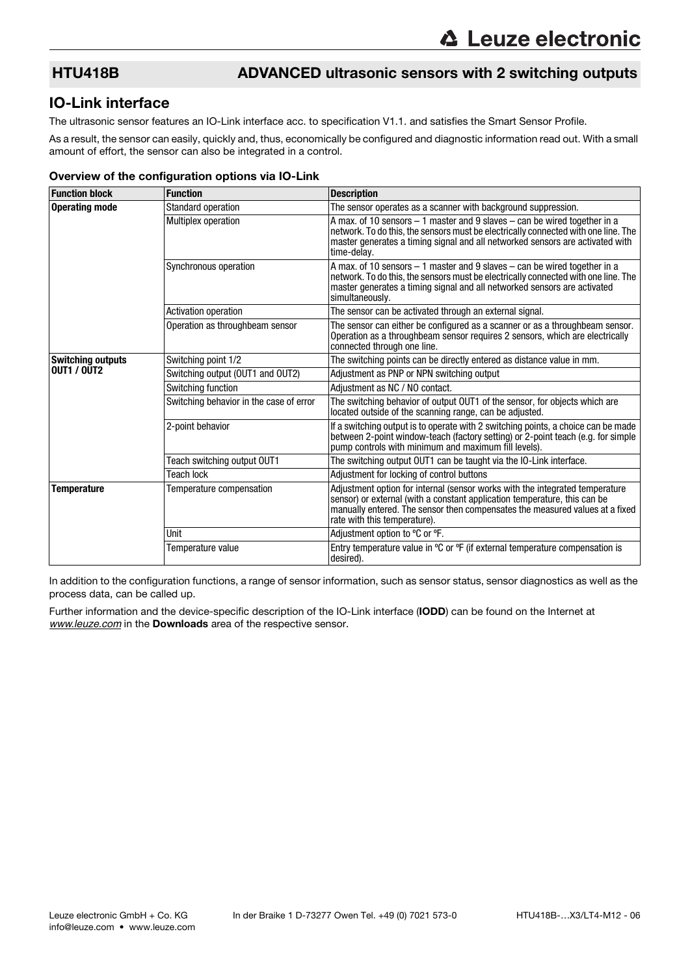## HTU418B ADVANCED ultrasonic sensors with 2 switching outputs

#### IO-Link interface

The ultrasonic sensor features an IO-Link interface acc. to specification V1.1. and satisfies the Smart Sensor Profile.

As a result, the sensor can easily, quickly and, thus, economically be configured and diagnostic information read out. With a small amount of effort, the sensor can also be integrated in a control.

#### Overview of the configuration options via IO-Link

| <b>Function block</b>    | <b>Function</b>                         | <b>Description</b>                                                                                                                                                                                                                                                        |
|--------------------------|-----------------------------------------|---------------------------------------------------------------------------------------------------------------------------------------------------------------------------------------------------------------------------------------------------------------------------|
| <b>Operating mode</b>    | <b>Standard operation</b>               | The sensor operates as a scanner with background suppression.                                                                                                                                                                                                             |
|                          | <b>Multiplex operation</b>              | A max. of 10 sensors $-1$ master and 9 slaves $-$ can be wired together in a<br>network. To do this, the sensors must be electrically connected with one line. The<br>master generates a timing signal and all networked sensors are activated with<br>time-delay.        |
|                          | Synchronous operation                   | A max. of 10 sensors $-1$ master and 9 slaves $-$ can be wired together in a<br>network. To do this, the sensors must be electrically connected with one line. The<br>master generates a timing signal and all networked sensors are activated<br>simultaneously.         |
|                          | <b>Activation operation</b>             | The sensor can be activated through an external signal.                                                                                                                                                                                                                   |
|                          | Operation as throughbeam sensor         | The sensor can either be configured as a scanner or as a throughbeam sensor.<br>Operation as a throughbeam sensor requires 2 sensors, which are electrically<br>connected through one line.                                                                               |
| <b>Switching outputs</b> | Switching point 1/2                     | The switching points can be directly entered as distance value in mm.                                                                                                                                                                                                     |
| <b>OUT1 / OUT2</b>       | Switching output (OUT1 and OUT2)        | Adjustment as PNP or NPN switching output                                                                                                                                                                                                                                 |
|                          | Switching function                      | Adjustment as NC / NO contact.                                                                                                                                                                                                                                            |
|                          | Switching behavior in the case of error | The switching behavior of output OUT1 of the sensor, for objects which are<br>located outside of the scanning range, can be adjusted.                                                                                                                                     |
|                          | 2-point behavior                        | If a switching output is to operate with 2 switching points, a choice can be made<br>between 2-point window-teach (factory setting) or 2-point teach (e.g. for simple<br>pump controls with minimum and maximum fill levels).                                             |
|                          | Teach switching output OUT1             | The switching output OUT1 can be taught via the IO-Link interface.                                                                                                                                                                                                        |
|                          | <b>Teach lock</b>                       | Adjustment for locking of control buttons                                                                                                                                                                                                                                 |
| <b>Temperature</b>       | Temperature compensation                | Adjustment option for internal (sensor works with the integrated temperature<br>sensor) or external (with a constant application temperature, this can be<br>manually entered. The sensor then compensates the measured values at a fixed<br>rate with this temperature). |
|                          | Unit                                    | Adjustment option to °C or °F.                                                                                                                                                                                                                                            |
|                          | Temperature value                       | Entry temperature value in $\degree$ C or $\degree$ F (if external temperature compensation is<br>desired).                                                                                                                                                               |

In addition to the configuration functions, a range of sensor information, such as sensor status, sensor diagnostics as well as the process data, can be called up.

Further information and the device-specific description of the IO-Link interface (IODD) can be found on the Internet at *[www.leuze.com](http://www.leuze.com)* in the Downloads area of the respective sensor.